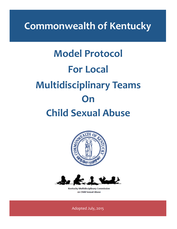**Commonwealth of Kentucky**

# **Model Protocol For Local Multidisciplinary Teams On Child Sexual Abuse**





**Kentucky Multidisciplinary Commission** on Child Sexual Abuse

Adopted July, 2015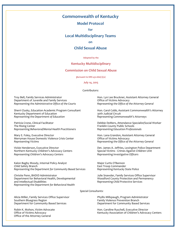# **Commonwealth of Kentucky**

## **Model Protocol**

**for** 

## **Local Multidisciplinary Teams**

**on** 

## **Child Sexual Abuse**

#### **Adopted by the**

### **Kentucky Multidisciplinary**

#### **Commission on Child Sexual Abuse**

**pursuant to KRS 431.660(1)(a)**

#### **July 14, 2015**

#### Contributors:

Department of Juvenile and Family Services *Representing the Administrative Office of the Courts Representing the Office of the Attorney General* 

Kentucky Department of Education 30th Judicial Circuit *Representing the Department of Education Representing Commonwealth's Attorneys*

Patricia Crone, Clinical Facilitator **Debbie DeMers, Attendance Specialist/Social Worker** The Rising Center<br>Representing Behavioral/Mental Health Practitioners<br>Representing Education Professionals *Representing Behavioral/Mental Health Practitioners Representing Education Professionals*

Mary E. Foley, Executive Director **Constant Attorney Ceneral**<br>Merryman House Domestic Violence Crisis Center **Metana Active Office of Victims Advocacy** Merryman House Domestic Violence Crisis Center<br>Representing Victims

Northern Kentucky Children's Advocacy Centers *Representing Children's Advocacy Centers Representing Investigative Officers*

Kalon Bagby Moody, Internal Policy Analyst Manuscull Major Curtis O'Bannon Child Safety Branch<br>Representing the Department for Community Based Services Representing Kentucky State Police *Representing the Department for Community Based Services Representing Kentucky State Police*

Christie Penn, BHDID Administrator Julie Snawder, Family Services Office Supervisor Department for Behavioral Health, Developmental<br>and Intellectual Disabilities *Representing the Department for Behavioral Health*

Troy Bell, Family Services Administrator **Hon. Lyn Lee Bruckner, Assistant Attorney General**<br>
Department of Juvenile and Family Services **Honel Propensis Contains Attorney General** 

Sherri Clusky, Education Academic Program Consultant Hon. Carol Cobb, Assistant Commonwealth's Attorney

**Representing the Office of the Attorney General** 

Vickie Henderson, Executive Director **Ditember 2018** Det. James A. Jeffries, Lexington Police Department<br>Northern Kentucky Children's Advocacy Centers **Discussed States** Special Victims - Crimes Against Children Unit

**Representing Child Protective Services** 

#### *Special Consultants:*

Alicia Miller, Family Services Office Supervisor **Phyllis Millspaugh, Program Administrator** Phyllis Millspaugh, Program Administrator<br>Pamily Violence Prevention Branch Family Violence Prevention Branch<br>Department for Community Based Services

Robin K. Mohon, Victim Advocate<br>
Office of Victims Advocacy<br>
Office of Victims Advocacy<br>
Attucky Association of Children's Advoca Kentucky Association of Children's Advocacy Centers

Department for Community Based Services

Office of the Attorney General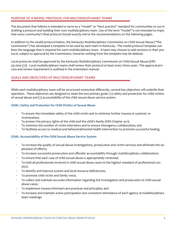## **PURPOSE OF A MODEL PROTOCOL FOR MULTIDISCIPLINARY TEAMS**

The document that follows is intended to serve as a "model" or "best practice" standard for communities to use in drafting a protocol and building their own multidisciplinary team. Use of the term "model" is not intended to imply that every community's final protocol should exactly mirror the recommendations on the following pages.

In addition to the model protocol below, the Kentucky Multidisciplinary Commission on Child Sexual Abuse ("the Commission") has developed a template to be used by each team in Kentucky. The model protocol template outlines the language that is required for each multidisciplinary team. A team may choose to add sections to their protocol, subject to approval by the Commission, however nothing from the template may be deleted.

Local protocols shall be approved by the Kentucky Multidisciplinary Commission on Child Sexual Abuse (KRS 431.600 (2)). Local multidisciplinary teams shall review their protocol at least every three years. This approval process and review requirement is outlined in the orientation manual.

## **GOALS AND OBJECTIVES OF MULTIDISCIPLINARY TEAMS**

While each multidisciplinary team will be structured somewhat differently, several key objectives will underlie their operation. These objectives are designed to meet the two primary goals: (1) safety and protection for child victims of sexual abuse and (2) accountability of the child sexual abuse service system.

## **GOAL: Safety and Protection for Child Victims of Sexual Abuse**

- · To ensure the immediate safety of the child victim and to minimize further trauma or systemic revictimization;
- To protect the privacy rights of the child and the child's family (KRS Chapter 421);
- · To minimize the number of victim interviews and to ensure interagency collaboration; and
- · To facilitate access to medical and behavioral/mental health intervention to promote successful healing.

## **GOAL: Accountability of the Child Sexual Abuse Service System**

- · To increase the quality of sexual abuse investigations, prosecution and victim services and eliminate the duplication of efforts;
- · To increase successful prosecution and offender accountability through multidisciplinary collaboration;
- · To ensure that each case of child sexual abuse is appropriately reviewed;
- · To hold all professionals involved in child sexual abuse cases to the highest standard of professional conduct;
- · To identify and improve system and local resource deficiencies;
- To promote child victim and family voice;
- · To collect and maintain accurate information regarding the investigation and prosecution of child sexual abuse cases;
- · To implement trauma informed care practices and principles; and
- · To increase and maintain active participation and consistent attendance of each agency at multidisciplinary team meetings.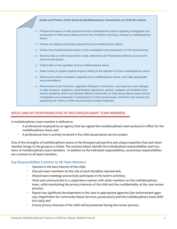

## **ROLES AND KEY RESPONSIBILITIES OF MULTIDISCIPLINARY TEAM MEMBERS**

A multidisciplinary team member is defined as:

- · A professional employed by an agency that has signed the multidisciplinary team protocol in effect for the multidisciplinary team; and
- A professional who is actively involved in the child sexual abuse service system.

One of the strengths of multidisciplinary teams is the divergent perspective and unique expertise that each team member brings to the group as a whole. The sections below identify the individualized responsibilities and functions of multidisciplinary team members. In addition to the individual responsibilities, several key responsibilities are common to all team members.

## Key Responsibilities Common to All Team Members

- · Operate in the best interest of the child;
- Educate team members on the role of each discipline represented;
- Attend team meetings and actively participate in the team's activities;
- · Work and communicate in a cooperative manner with other members on the multidisciplinary team, while maintaining the privacy interests of the child and the confidentiality of the case review process;
- · Report any significant developments in the case to appropriate agencies (law enforcement agencies, Department for Community Based Services, prosecutors) and the multidisciplinary team (KRS 620.030); and
- Ensure privacy interests of the child will be protected during the review process.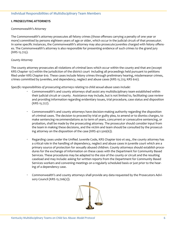## **I. PROSECUTING ATTORNEYS**

## *Commonwealth's Attorney*

The Commonwealth's attorney prosecutes all felony crimes (those offenses carrying a penalty of one year or more) committed by persons eighteen years of age or older, which occur in the judicial circuit of that prosecutor. In some specific instances, the Commonwealth's attorney may also prosecute juveniles charged with felony offenses. The Commonwealth's attorney is also responsible for presenting evidence of such crimes to the grand jury (KRS 15.725).

## *County Attorney*

The county attorney prosecutes all violations of criminal laws which occur within the county and that are (except KRS Chapter 131) within the jurisdiction of the district court including all proceedings held pursuant to petitions filed under KRS Chapter 610. These cases include felony crimes through preliminary hearing, misdemeanor crimes, crimes committed by juveniles, and dependency, neglect and abuse cases (KRS 15.725; KRS 610).

*Specific responsibilities of prosecuting attorneys relating to child sexual abuse cases include:*

- · Commonwealth's and county attorneys shall assist any multidisciplinary team established within their judicial circuit or county. Assistance may include, but is not limited to, facilitating case review and providing information regarding evidentiary issues, trial procedure, case status and disposition (KRS 15.727).
- · Commonwealth's and county attorneys have decision-making authority regarding the disposition of criminal cases. The decision to proceed by trial or guilty plea, to amend or to dismiss charges, to make sentencing recommendations as to term of years, concurrent or consecutive sentencing, or probation, shall be made by the prosecuting attorney. The prosecutor should consider input from the team in making these decisions, and the victim and team should be consulted by the prosecuting attorney on the disposition of the case (KRS 421.500(6)).
- · Regarding cases under the Unified Juvenile Code, KRS Chapter 600 *et seq*., the county attorney has a critical role in the handling of dependency, neglect and abuse cases in juvenile court which are a primary source of protection for sexually abused children. County attorneys should establish procedures for the exchange of information on these cases with the Department for Community Based Services. These procedures may be adapted to the size of the county or circuit and the resulting caseload and may include: asking for written reports from the Department for Community Based Services workers and convening meetings on a regularly scheduled basis or just prior to the hearing of a dependency case.
- · Commonwealth's and county attorneys shall provide any data requested by the Prosecutors Advisory Council (KRS 15.706(2)).

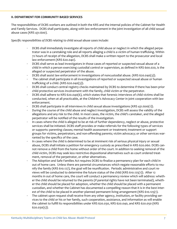## **II. DEPARTMENT FOR COMMUNITY BASED SERVICES**

The responsibilities of DCBS workers are outlined in both the KRS and the internal policies of the Cabinet for Health and Family Services. DCBS shall participate, along with law enforcement in the joint investigation of all child sexual abuse cases (KRS 431.600).

*Specific responsibilities of DCBS relating to child sexual abuse cases include:*

- · DCBS shall immediately investigate all reports of child abuse or neglect in which the alleged perpetrator was in a caretaking role and all reports alleging a child is a victim of human trafficking. Within 72 hours of receipt of the allegation, DCBS shall make a written report to the prosecutor and local law enforcement (KRS 620.040).
- DCBS shall serve as lead investigators in those cases of reported or suspected sexual abuse of a child in which a person exercising custodial control or supervision, as defined in KRS 600.020, is the alleged or suspected perpetrator of the abuse.
- · DCBS shall assist law enforcement in investigations of noncustodial abuse. (KRS 620.040(3)).
- The cabinet shall participate in all investigations of reported or suspected sexual abuse or human trafficking of a child. (KRS 620.040(3)).
- · DCBS shall conduct central registry checks maintained by DCBS to determine if there has been prior child protective services involvement with the family, child victim or the perpetrator.
- DCBS shall adhere to KRS 620.040(6), which states that forensic interviews of child victims shall be conducted, when at all practicable, at the Children's Advocacy Center in joint cooperation with law enforcement.
- DCBS shall participate in all interviews in child sexual abuse investigations (KRS 431.600(1)).
- · During the course of the child abuse and neglect investigation, DCBS will assess the validity of the allegations and any risk to the child. In most cases, the victim, the child's caretaker, and the alleged perpetrator will be notified of the results of the investigation.
- In cases where the child is alleged to be at risk of further dependency, neglect or abuse, protective services shall be initiated. DCBS staff provides or make referrals for the following types of services or supports: parenting classes; mental health assessment or treatment; treatment or support groups for victims, perpetrators, and non-offending parents; victim advocacy; or other services warranted by the specifics of the case.
- In cases where the child is determined to be at imminent risk of serious physical injury or sexual abuse, DCBS shall initiate a petition for emergency custody as prescribed in KRS 620.060. DCBS cannot remove a child from the home without order of the court. In addition to seeking removal of the child victim, DCBS may seek less restrictive dispositional alternatives such as court ordered treatment, removal of the perpetrator, or other alternatives.
- The Adoption and Safe Families Act requires DCBS to finalize a permanency plan for each child in out of home care. Unless there are parental circumstances which negate reasonable efforts to reunify the family (KRS 610.127), the goal will be reunification. Periodic administrative and court reviews will be conducted to determine the future status of the child (KRS 610.125(1)). After 12 months in out of home care, the court will conduct a permanency review which will address: whether the child should be returned to the parents (if parental rights have not been terminated), whether the child should be placed for adoption, whether the child should be placed with a permanent custodian, and whether the Cabinet has documented a compelling reason that it is in the best interest of the child to be placed in another planned permanent living arrangement (KRS 610.125(1).
	- · The cabinet upon request shall receive from any other agency, institution, or facility providing services to the child or his or her family, such cooperation, assistance, and information as will enable the cabinet to fulfill its responsibilities under KRS 620.030, KRS 620.040, and KRS 620.050 (KRS 620.030(5)).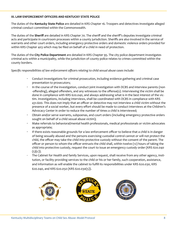## **III. LAW ENFORCEMENT OFFICERS AND KENTUCKY STATE POLICE**

The duties of the **Kentucky State Police** are detailed in KRS Chapter 16. Troopers and detectives investigate alleged criminal conduct committed within the Commonwealth.

The duties of the **Sheriff** are detailed in KRS Chapter 70. The sheriff and the sheriff's deputies investigate criminal acts and participate in courtroom processes within a county jurisdiction. Sheriffs are also involved in the service of warrants and other court orders, including emergency protective orders and domestic violence orders provided for within KRS Chapter 403 which may be filed on behalf of a child in need of protection.

The duties of the **City Police Department** are detailed in KRS Chapter 95. The city police department investigates criminal acts within a municipality, while the jurisdiction of county police relates to crimes committed within the county borders.

*Specific responsibilities of law enforcement officers relating to child sexual abuse cases include:* 

- · Conduct investigations for criminal prosecution, including evidence gathering and criminal case presentation to prosecutors;
- In the course of the investigation, conduct joint investigation with DCBS and interview parents (non -offending), alleged offenders, and any witnesses to the offense(s). Interviewing the victim shall be done in compliance with KRS 620.040, and always addressing what is in the best interest of the victim. Investigations, including interviews, shall be coordinated with DCBS in compliance with KRS 431.600. This does not imply that an officer or detective may not interview a child victim without the presence of a social worker, but every effort should be made to conduct interviews at the Children's Advocacy Center in order to reduce the number of times a child is interviewed;
- · Obtain and/or serve warrants, subpoenas, and court orders (including emergency protective orders sought on behalf of a child sexual abuse victim);
- · Make referrals to behavioral/mental health professionals, medical professionals or victim advocates as appropriate;
- · If there exists reasonable grounds for a law enforcement officer to believe that a child is in danger of being sexually abused and the persons exercising custodial control cannot or will not protect the child, the officer may take the child into protective custody without the consent of the parent. The officer or person to whom the officer entrusts the child shall, within twelve (12) hours of taking the child into protective custody, request the court to issue an emergency custody order (KRS 620.040  $(5)(c)$ ).
- The Cabinet for Health and family Services, upon request, shall receive from any other agency, institution, or facility providing services to the child or his or her family, such cooperation, assistance, and information as will enable the cabinet to fulfill its responsibilities under KRS 620.030, KRS 620.040, and KRS 620.050 (KRS 620.030(5)).

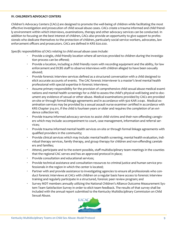## **IV. CHILDREN'S ADVOCACY CENTERS**

Children's Advocacy Centers (CACs) are designed to promote the well-being of children while facilitating the most effective investigation and prosecution of child sexual abuse cases. CACs create a trauma informed and child friendly environment within which interviews, examinations, therapy and other advocacy services can be conducted. In addition to focusing on the best interest of children, CACs also provide an opportunity to give support to professionals who dedicate themselves to the protection of children, particularly social service workers, advocates, law enforcement officers and prosecutors. CACs are defined in KRS 620.020.

*Specific responsibilities of CACs relating to child sexual abuse cases include:*

- Provide a single, child friendly location where all services provided to children during the investigation process can be offered;
- Provide a location, including a child friendly room with recording equipment and the ability, for law enforcement and DCBS staff to observe interviews with children alleged to have been sexually abused;
- Provide forensic interview services defined as a structured conversation with a child designed to elicit accurate accounts of events. The CAC forensic interviewer is a master's level mental health professional with special expertise in forensic interviews;
- Assume primary responsibility for the provision of comprehensive child sexual abuse medical examinations and mental health screenings for a child to assess the child's physical well-being and to document any evidence of sexual or other abuse. Medical examinations provided by CACs are provided on-site or through formal linkage agreements and in accordance with 920 KAR 2:040. Medical examination services may be provided by a sexual assault nurse examiner certified in accordance with KRS Chapter 314.011, if the child is fourteen years or older and requires the completion of an evidence collection kit;
- · Provide trauma informed advocacy services to assist child victims and their non-offending caregivers which may include: accompaniment to court, case management, information and referral services;
- · Provide trauma informed mental health services on-site or through formal linkage agreements with qualified providers in the community;
- · Provide clinical services which may include: mental health screening, mental health evaluation, individual therapy services, family therapy, and group therapy for children and non-offending caretakers and families;
- · Attend, participate and to the extent possible, staff multidisciplinary team meetings in the counties that the regional CAC serves and has an approved protocol in place;
- Provide consultation and educational services;
- · Provide technical assistance and consultation resources to criminal justice and human service professionals in the region in which the center is located;
- Partner with and provide assistance to investigating agencies to ensure all professionals who conduct forensic interviews at CACs with children on a regular basis have access to forensic interview training and regularly participate in a structured, forensic peer review program; and
- · Survey MDT members annually utilizing the National Children's Alliance Outcome Measurement System Team Satisfaction Survey in order to elicit team feedback. The results of that survey shall be included with the annual report submitted to the Kentucky Multidisciplinary Commission on Child Sexual Abuse.

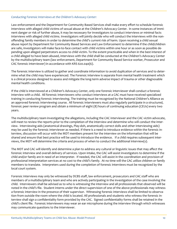## *Conducting Forensic Interviews at the Children's Advocacy Center:*

Law enforcement and the Department for Community Based Services shall make every effort to schedule forensic interviews with alleged child victims of sexual abuse at the Children's Advocacy Center. In some instances of imminent danger or risk of further abuse, it may be necessary for investigators to conduct interviews or minimal facts interviews with alleged child victims. Investigators will jointly decide who will conduct the interviews with the nonoffending family members in order to determine the child's current risk of harm. Upon receiving a child sexual abuse report by Department for Community Based Services and Law Enforcement to determine if the child/children are safe, investigators will make face-to-face contact with child victims within one hour or as soon as possible depending upon alleged perpetrators access to child victim. To the extent practicable and when in the best interest of a child alleged to have been abused, interviews with the child shall be conducted at the Children's Advocacy Center by the multidisciplinary team (law enforcement, Department for Community Based Service worker, Prosecutor and CAC forensic interviewer) in accordance with KRS 620.040(6).

The forensic interview is utilized to gather and coordinate information to avoid duplication of services and to determine what the child may have experienced. The Forensic interview is separate from mental health treatment which is a clinical process designed to assess and mitigate the long-term adverse impact of trauma or other diagnosable mental health conditions.

If the child is interviewed at a Children's Advocacy Center, only one forensic interviewer shall conduct a forensic interview with a child. All forensic Interviewers who conduct interviews at a CAC must have received specialized training in conducting forensic interviewing. The training must be recognized by the National Children's Alliance as an approved forensic interviewing course. All forensic interviewers must also regularly participate in a structured, forensic peer review program and obtain a minimum of eight (8) hours of continuing education (CEUs) every two years.

The multidisciplinary team investigating the allegations, including the CAC interviewer and the CAC victim advocate, will meet to review the reports prior to the completion of the interview and determine who will conduct the interview. Interviewing aids (anatomical drawings, Play-doh, anatomically correct dolls and other interviewing aids) may be used by the forensic interviewer as needed. If there is a need to introduce evidence within the forensic interview, discussion will occur with the MDT members present for the interview on the information that will be shared and ensure that best practice will be used to introduce the evidence. If a child requires subsequent interviews, the MDT will determine the criteria and process of when to conduct the additional interview(s).

The MDT and CAC will identify and determine a plan to address any cultural or linguistic issues that may affect the forensic interview and overall delivery of services. Upon intake, the CAC will assist investigators to determine if the child and/or family are in need of an interpreter. If needed, the CAC will assist in the coordination and provision of professional interpretation services at no cost to the child's family. At no time will the CAC utilize children or family members to translate. Interpreters used during the completion of forensic interviews must be recognized by the local court system.

Forensic interviews may only be witnessed by DCBS staff, law enforcement, prosecutors and CAC staff who are members of a multidisciplinary team and who are actively participating in the investigation of the case involving the child. Interviewers shall be advised as to who is witnessing the interview and all professionals that observed will be noted in the child's file. Student interns under the direct supervision of one of the above professionals may witness a forensic interview in the presence of their supervisor. Witnessing forensic interviews shall be limited to observation from outside the room where the child is located. All professionals and students who witness the forensic interview shall sign a confidentiality form provided by the CAC. Signed confidentiality forms shall be retained in the child's client file. Forensic interviewers may wear an ear microphone during the interview through which witnesses may communicate questions to the interviewer.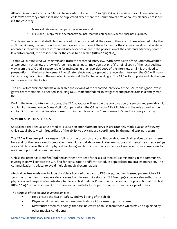All interviews conducted at a CAC will be recorded. As per KRS 620.050(10), an interview of a child recorded at a children's advocacy center shall not be duplicated except that the Commonwealth's or county attorney prosecuting the case may:

- Make and retain one (1) copy of the interview; and
- Make one (1) copy for the defendant's counsel that the defendant's counsel shall not duplicate.

The defendant's counsel shall file the copy with the court clerk at the close of the case. Unless objected to by the victim or victims, the court, on its own motion, or on motion of the attorney for the Commonwealth shall order all recorded interviews that are introduced into evidence or are in the possession of the children's advocacy center, law enforcement, the prosecution, or the court to be sealed (KRS 620.050(10)).

Teams will outline who will maintain and track the recorded interview. With permission of the Commonwealth's and/or county attorney, the law enforcement investigator may sign out one (1) original copy of the recorded interview from the CAC and is responsible for maintaining that recorded copy of the interview until it is provided to prosecution. If the law enforcement investigator elects not to sign out the recorded interview, the CAC will maintain any original copies of the recorded interview at the Center accordingly. The CAC will complete and file the sign -out form in the client's file.

The CAC will coordinate and make available the viewing of the recorded interview at the CAC for assigned investigative team members, as needed, including DCBS staff and federal investigators and prosecutors in a timely manner.

During the forensic interview process, the CAC advocate will assist in the coordination of services and provide child and family information on Crime Victim Compensation, the Crime Victim Bill of Rights and the role as well as the contact information of advocates housed within the offices of the Commonwealth's and/or county attorney.

# **V. MEDICAL PROFESSIONALS**

Specialized child sexual abuse medical evaluation and treatment services are routinely made available for every child sexual abuse victim (regardless of the ability to pay) and are coordinated by the multidisciplinary team.

The CAC will assume primary responsibility for the provision of consultation about medical services to team members and for the provision of comprehensive child sexual abuse medical examinations and mental health screenings for a child to assess the child's physical wellbeing and to document any evidence of sexual or other abuse so as to avoid multiple medical examinations.

Unless the team has identified/outlined another provider of specialized medical examinations in the community, investigators will contact the CAC first for consultation and/or to schedule a specialized medical examination. This communication is critical to avoid multiple medical examinations.

Medical professionals may include physicians licensed pursuant to KRS 311.550, nurses licensed pursuant to KRS 314.011 or other health care providers licensed within Kentucky statute. KRS 620.040(5)(b) provides authority to physicians and hospital administrators to place a child under a 72-hour hold if necessary for protection of the child. KRS 620.050 provides immunity from criminal or civil liability for performance within the scope of duties.

*The purpose of the medical examination is to:*

- Help ensure the health, safety, and well-being of the child;
- Diagnose, document and address medical conditions resulting from abuse;
- Differentiate medical findings that are indicative of abuse from those which may be explained by other medical conditions;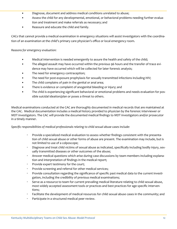- Diagnose, document and address medical conditions unrelated to abuse;
- Assess the child for any developmental, emotional, or behavioral problems needing further evaluation and treatment and make referrals as necessary; and
- Reassure and educate the child and family.

CACs that cannot provide a medical examination in emergency situations will assist investigators with the coordination of an examination at the child's primary care physician's office or local emergency room.

## *Reasons for emergency evaluation:*

- Medical intervention is needed emergently to assure the health and safety of the child;
- The alleged assault may have occurred within the previous 96 hours and the transfer of trace evidence may have occurred which will be collected for later forensic analysis;
- The need for emergency contraception;
- The need for post-exposure prophylaxis for sexually transmitted infections including HIV;
- The child complains of pain in the genital or anal area;
- There is evidence or complaint of anogenital bleeding or injury; and
- The child is experiencing significant behavioral or emotional problems and needs evaluation for possible suicidal ideation/plan or poses a threat to others.

Medical examinations conducted at the CAC are thoroughly documented in medical records that are maintained at the CAC. Medical documentation includes a medical history provided to physician by the forensic interviewer or MDT investigators. The CAC will provide the documented medical findings to MDT investigators and/or prosecutor in a timely manner.

## *Specific responsibilities of medical professionals relating to child sexual abuse cases include:*

- · Provide a specialized medical evaluation to assess whether findings consistent with the presentation of child sexual abuse or other forms of abuse are present. The examination may include, but is not limited to use of a colposcope;
- · Diagnose and treat child victims of sexual abuse as indicated, specifically including bodily injury, sexually transmitted diseases or other outcomes of the abuse;
- · Answer medical questions which arise during case discussions by team members including explanation and interpretation of findings in the medical report;
- · Provide expert testimony for the court;
- · Provide screening and referral for other medical services;
- · Provide consultation regarding the significance of specific past medical data to the current investigation, including the credibility of previous medical examinations;
- · Serve as a resource to team for current prevailing medical literature relating to child sexual abuse, most widely accepted assessment tools or practices and best practices for age specific interventions;
- Facilitate the development of medical resources for child sexual abuse cases in the community; and
- Participate in a structured medical peer review.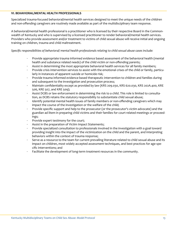## **VI. BEHAVIORAL/MENTAL HEALTH PROFESSIONALS**

Specialized trauma-focused behavioral/mental health services designed to meet the unique needs of the children and non-offending caregivers are routinely made available as part of the multidisciplinary team response.

A behavioral/mental health professional is a practitioner who is licensed by their respective Board in the Commonwealth of Kentucky and who is supervised by a licensed practitioner to render behavioral/mental health services. Providers who provide assessment and/or treatment to victims of child sexual abuse will receive initial and ongoing training on children, trauma and child maltreatment.

*Specific responsibilities of behavioral/ mental health professionals relating to child sexual abuse cases include:*

- · Provide appropriate trauma informed evidence based assessment of the behavioral health (mental health and substance related needs) of the child victim or non-offending parents;
- Assist in determining the most appropriate behavioral health services for all family members;
- Provide crisis intervention services to assist with the emotional crises of the child or family, particularly in instances of apparent suicide or homicide risk;
- Provide trauma informed evidence based therapeutic intervention to children and families during and subsequent to the investigation and prosecution process;
- · Maintain confidentiality except as provided by law (KRS 209.030, KRS 620.030, KRS 202A.400, KRE 506, KRE 507, and KRE 509);
- · Assist DCBS or law enforcement in determining the risk to a child. This role is limited to consultation, as DCBS retains the statutory responsibility to substantiate child sexual abuse;
- · Identify potential mental health issues of family members or non-offending caregivers which may impact the course of the investigation or the welfare of the child;
- · Provide specific support and help to the prosecutor (or the prosecutor's victim advocate) and the guardian ad litem in preparing child victims and their families for court related meetings or proceedings;
- Provide expert testimony for the court;
- Assist in the preparation of Victim Impact Statements;
- Provide specialized consultation to professionals involved in the investigation with a goal toward providing insight into the impact of the victimization on the child and the parent, and interpreting behaviors within the context of trauma response;
- Serve as a resource to the team for current prevailing literature related to child sexual abuse and its impact on children, most widely accepted assessment techniques, and best practices for age specific interventions; and
- Facilitate the development of long-term treatment resources in the community.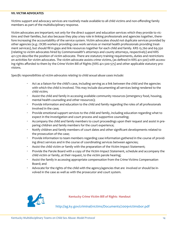## **VII. VICTIM ADVOCATES**

Victims support and advocacy services are routinely made available to all child victims and non-offending family members as part of the multidisciplinary response.

Victim advocates are important; not only for the direct support and education services which they provide to victims and their families, but also because they play a key role in linking professionals and agencies together, therefore increasing the accountability of the service system. Victim advocates should not duplicate services provided by other agencies (e.g.: DCBS workers providing case work services or mental health professionals providing treatment services), but should fill in gaps and link resources together for each child and family. KRS 15.760 and 69.350 (relating to victim advocates hired by Commonwealth's attorneys and county attorneys, respectively) and KRS 421.570 describe the position of victim advocate. There are statutory training requirements, duties and restrictions on activities for victim advocates. The victim advocate assists crime victims, (as defined in KRS 421.500) with accessing rights afforded to them by the Crime Victim Bill of Rights (KRS 421.500-575) and other applicable statutory provisions.

*Specific responsibilities of victim advocates relating to child sexual abuse cases include:*

- Act as a liaison for the child's case, including serving as a link between the child and the agencies with which the child is involved. This may include documenting all services being rendered to the child victim;
- Assist the child and family in accessing available community resources (emergency food, housing, mental health counseling and other resources);
- · Provide information and education to the child and family regarding the roles of all professionals involved in the case;
- Provide emotional support services to the child and family, including education regarding what to expect in the investigation and court process and supportive counseling;
- · Accompany the child and family members to court proceedings upon their request and assist in preparing children and family members for the court experience;
- · Notify children and family members of court dates and other significant developments related to the prosecution of the case;
- · Provide information to team members regarding case information gathered in the course of providing direct services and in the course of coordinating services between agencies;
- Assist the child victim or family with the preparation of the Victim Impact Statement;
- · Provide the Parole Board with a copy of the Victim Impact Statement, schedule and accompany the child victim or family, at their request, to the victim parole hearing;
- Assist the family in accessing appropriate compensation from the Crime Victims Compensation Board; and
- Advocate for the rights of the child with the agency/agencies that are involved or should be involved in the case as well as with the prosecutor and court system.



**Kentucky Crime Victim Bill of Rights Handout**

http://ag.ky.gov/criminal/victims/Documents/2009victimsbor.pdf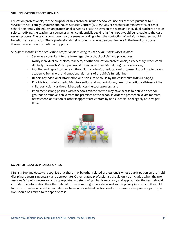## **VIII. EDUCATION PROFESSIONALS**

Education professionals, for the purpose of this protocol, include school counselors certified pursuant to KRS 161.010-161.126, Family Resource and Youth Services Centers (KRS 156.4977), teachers, administrators, or other school personnel. The education professional serves as a liaison between the team and individual teachers or counselors, notifying the teacher or counselor when confidentially seeking his/her input would be valuable to the case review process. The team should reach a consensus regarding when the contacting of individual teachers would benefit the investigation. These professionals help students reduce personal barriers in the learning process through academic and emotional supports.

*Specific responsibilities of education professionals relating to child sexual abuse cases include:*

- · Serve as a consultant to the team regarding school policies and procedures;
- Notify individual counselors, teachers, or other education professionals, as necessary, when confidentially seeking his/her input would be valuable or needed during the case review;
- · Monitor and report to the team the child's academic or educational progress, including a focus on academic, behavioral and emotional domains of the child's functioning;
- Report any additional information or disclosure of abuse by the child victim (KRS 620.030);
- · Provide trauma informed crisis intervention and support during times of emotional distress of the child, particularly as the child experiences the court process; and
- · Implement strong policies within schools related to who may have access to a child on school grounds or remove a child from the premises of the school in order to protect child victims from harassment, abduction or other inappropriate contact by non-custodial or allegedly abusive parents.



## **IX. OTHER RELATED PROFESSIONALS**

KRS 431.600 and 620.040 recognize that there may be other related professionals whose participation on the multidisciplinary team is necessary and appropriate. Other related professionals should only be included when the professional's input is necessary and appropriate. In determining what is necessary and appropriate, the team should consider the information the other related professional might provide as well as the privacy interests of the child. In those instances where the team decides to include a related professional in the case review process, participation should be limited to the specific case.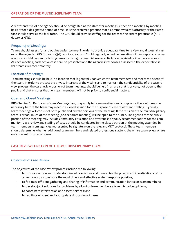A representative of one agency should be designated as facilitator for meetings, either on a meeting-by-meeting basis or for a designated period of time. It is the preferred practice that a Commonwealth's attorney or their assistant should serve as the facilitator. The CAC should provide staffing for the team to the extent practicable (KRS 620.040(7)(i)).

## Frequency of Meetings:

Teams should assess for and outline a plan to meet in order to provide adequate time to review and discuss all cases on the agenda. KRS 620.040(7)(d) requires teams to "hold regularly scheduled meetings if new reports of sexual abuse or child human trafficking cases involving commercial sexual activity are received or if active cases exist. At each meeting, each active case shall be presented and the agencies' responses assessed." The expectation is that teams will meet monthly.

## Location of Meetings:

Team meetings should be held in a location that is generally convenient to team members and meets the needs of the team. In order to protect the privacy interests of the victims and to maintain the confidentiality of the case review process, the case review portion of team meetings should be held in an area that is private, not open to the public and that ensures that non-team members will not be privy to confidential matters.

## Open and Closed Meetings:

KRS Chapter 61, Kentucky's Open Meetings Law, may apply to team meetings and compliance therewith may be necessary before the team may meet in a closed session for the purpose of case review and staffing. Typically, team meetings will consist of both public and private portions of the meeting. If the mission of the multidisciplinary team is broad, much of the meeting (or a separate meeting) will be open to the public. The agenda for the public portion of the meeting may include community education and awareness or policy recommendations for the community. Case review and staffing of cases should be conducted in the closed portion of the meeting attended by team members from agencies represented by signature on the relevant MDT protocol. These team members should determine whether additional team members and related professionals attend the entire case review or are only present for specific cases.

# **CASE REVIEW FUNCTION OF THE MULTIDISCIPLINARY TEAM**

## Objectives of Case Review

The objectives of the case review process include the following:

- To promote a thorough understanding of case issues and to monitor the progress of investigation and intervention, so as to ensure the most timely and effective system response possible;
- · To facilitate efficient gathering and sharing of information and communication between team members;
- To develop joint solutions for problems by allowing team members a forum to voice opinions;
- · To coordinate intervention and assess services; and
- To facilitate efficient and appropriate disposition of cases.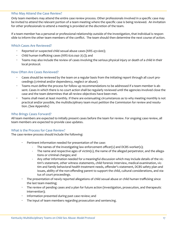## Who May Attend the Case Review?

Only team members may attend the entire case review process. Other professionals involved in a specific case may be invited to attend the relevant portion of a team meeting where the specific case is being reviewed. An invitation for other professionals to attend a meeting is provided at the discretion of the team.

If a team member has a personal or professional relationship outside of the investigation, that individual is responsible to inform the other team members of the conflict. The team should then determine the next course of action.

## Which Cases Are Reviewed?

- Reported or suspected child sexual abuse cases (KRS 431.600);
- Child human trafficking cases (KRS 620.040  $7(c)$ ); and
- · Teams may also include the review of cases involving the serious physical injury or death of a child in their local protocol.

## How Often Are Cases Reviewed?

- · Cases should be reviewed by the team on a regular basis from the initiating report through all court proceedings (criminal and/or dependency, neglect or abuse).
- Teams must define the process for follow up recommendations to be addressed if a team member is absent. Cases in which there is no court action shall be regularly reviewed until the agencies involved close the case and the team determines that all review objectives have been met.
- · Teams shall meet at least monthly. If there are extenuating circumstances as to why meeting monthly is not practical and/or possible, the multidisciplinary team must petition the Commission for review and resolution. (See Appendix)

## Who Brings Cases Forward?

All team members are expected to initially present cases before the team for review. For ongoing case review, all team members are expected to provide case updates.

## What is the Process for Case Review?

The case review process should include the following:

- Pertinent information needed for presentation of the case:
	- The names of the investigating law enforcement officer(s) and DCBS worker(s);
	- The name and respective ages of victim(s), the name of the alleged perpetrator, and the allegations or criminal charges; and
	- Any other information needed for a meaningful discussion which may include details of the victim's statement, other witness statements, child forensic interview, medical examination, victim and family behavioral health treatment needs, offender's statement, DCBS safety plan and issues, ability of the non-offending parent to support the child, cultural considerations, and status of court proceedings.
- · The presentation of newly reported allegations of child sexual abuse or child human trafficking since the last team meeting;
- · The review of pending cases and a plan for future action (investigation, prosecution, and therapeutic intervention);
- Information presented during past case review; and
- · The input of team members regarding prosecution and sentencing.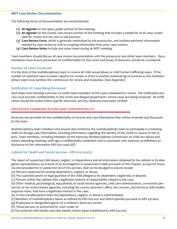## **MDT Case Review Documentation**

The following forms of documentation are recommended.

- **(1) An Agenda** for the open, public portion of the meeting.
- **(2) An Agenda** for the closed, case review portion of the meeting that includes a simple list of all cases scheduled for review and any new or old business.
- **(3) Case Review Form**, which is generally maintained by the prosecutor, and outlines pertinent information needed for case review as well as on-going information from prior case reviews.
- **(4) Case Review Notes** include any notes taken during an MDT meeting.

Team members should discuss all case review documentation with the prosecutor and other team members. Documentation must ensure protection of confidentiality for the victim and issues of discovery should be considered.

## Number of Cases Reviewed:

It is the duty of the multidisciplinary team to review all child sexual abuse or child human trafficking cases. If the number of reported cases exceeds capacity for review or there is another extenuating circumstance, the multidisciplinary team must petition the Commission for review and resolution. (See Appendix)

## Notification of Cases Being Reviewed:

Each team must develop a process to notify team members of the cases scheduled for review. The notification process must provide confidentiality to the victim and alleged perpetrators whose cases are being reviewed. All notification should be mailed unless specific electronic security measures have been verified.

## **PRIVILEGED COMMUNICATIONS AND CONFIDENTIALITY**

Kentucky law provides for the confidentiality of records and case information that will be reviewed and discussed by the team.

Multidisciplinary team members and anyone else invited by the multidisciplinary team to participate in a meeting shall not divulge case information, including information regarding the identity of the victim or source of the report. Team members, including members of the Kentucky Multidisciplinary Commission on Child Sex Abuse and others attending meetings shall sign a confidentiality statement that is consistent with statutory prohibitions on disclosure of this information KRS 620.040(7)(f).

## Cabinet for Health and Family Services-- KRS 620.050(5)

The report of suspected child abuse, neglect, or dependency and all information obtained by the cabinet or its delegated representative, as a result of an investigation or assessment made pursuant to this chapter, except for those records provided for in subsection (6) of this section, *shall not be divulged to anyone except:* 

(a) Persons suspected of causing dependency, neglect, or abuse;

(b) The custodial parent or legal guardian of the child alleged to be dependent, neglected, or abused;

(c) Persons within the cabinet with a legitimate interest or responsibility related to the case;

(d) Other medical, psychological, educational, or social service agencies, child care administrators, corrections personnel, or law enforcement agencies, including the county attorney's office, the coroner, and the local child fatality response team, that have a legitimate interest in the case;

(e) A noncustodial parent when the dependency, neglect, or abuse is substantiated;

(f) Members of multidisciplinary teams as defined by KRS 620.020 and which operate pursuant to KRS 431.600;

(g) Employees or designated agents of a children's advocacy center;

(h) Those persons so authorized by court order; or

(i) The external child fatality and near fatality review panel established by KRS 620.055.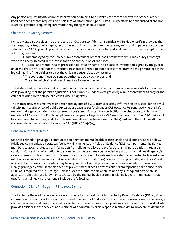Any person requesting disclosure of information pertaining to a client's case record follows the procedures outlined per open records request and disclosure of information. (per HIPPA). This pertains to both custodial and noncustodial parent(s) requesting information regarding their child's case.

# Children's Advocacy Centers:

Kentucky law also provides that the records of CACs are confidential. Specifically, KRS 620.050(6)(a) provides that files, reports, notes, photographs, records, electronic and other communications, and working papers used or developed by a CAC in providing services under this chapter are confidential and shall not be disclosed except to the following persons:

1) Staff employed by the Cabinet, law enforcement officers, and Commonwealth's and county attorneys who are directly involved in the investigation or prosecution of the case;

2) Medical and mental health professionals listed by name in a release of information signed by the guardian of the child, provided that the information shared is limited to that necessary to promote the physical or psychological health of the child or to treat the child for abuse-related symptoms;

3) The court and those persons so authorized by a court order; and

4) The external child fatality and near fatality review panel.

The statute further provides that nothing shall prohibit a parent or guardian from accessing records for his or her child providing that the parent or guardian is not currently under investigation by a law enforcement agency or the cabinet relating to the abuse of a child (KRS 620.050(7)).

The statute prevents employees or designated agents of a CAC from disclosing information discussed during a multidisciplinary team review of a child sexual abuse case as set forth under KRS 620.040. Persons receiving this information shall sign a confidentiality statement consistent with statutory prohibitions on disclosure of this information (KRS 620.050(8)). Finally, employees or designated agents of a CAC may confirm to another CAC that a child has been seen for services, and, if an information release has been signed by the guardian of the child, a CAC may disclose relevant information to another CAC (KRS 620.050(9)).

# Behavioral/Mental Health:

Statutes related to privileged communication between mental health professionals and clients are noted below. Privileged communication statutes found within the Kentucky Rules of Evidence (KRE) compel mental health team members to acquire releases of information from clients to allow the professional's full participation in team discussions. Consent for information to be released to the team may be included as part of a mental health agency's overall consent for treatment form. Consent for information to be released may also be requested by law enforcement or social services agencies that secure release of information signatures from appropriate parents or guardians. In extreme cases, court orders may be required to allow the professional to release needed information. Finally, privileged communication does not prevent mental health professionals from reporting child abuse to the DCBS as is required by KRS 620.030. This includes the initial report of abuse and any subsequent acts of abuse against the child that are known or suspected by the mental health professional. Privileged communication statutes for mental health professionals include the following:

# Counselor - Client Privilege -- KRS 422A.506 (5)(c)

The Kentucky Rules of Evidence provide a privilege for counselors within Kentucky Rule of Evidence (KRE) 506. A counselor is defined to include a school counselor, an alcohol or drug abuse counselor, a sexual assault counselor, a certified marriage and family therapist, a certified art therapist, a certified professional counselor, an individual who provides crisis response services as a member of a community crisis response team, a victim advocate as defined in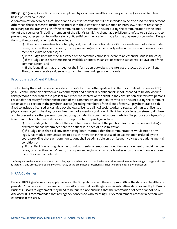KRS 421.570 (except a victim advocate employed by a Commonwealth's or county attorney), or a certified feebased pastoral counselor.

A communication between a counselor and a client is "confidential" if not intended to be disclosed to third persons other than those present to further the interest of the client in the consultation or interview, persons reasonably necessary for the transmission of the communication, or persons present during the communication at the direction of the counselor (including members of the client's family). A client has a privilege to refuse to disclose and to prevent any other person from disclosing confidential communications made for the purpose of counseling. Exceptions to the counselor client privilege include:

1) If the client is asserting his or her physical, mental or emotional condition as an element of a claim or defense; or, after the client's death, in any proceeding in which any party relies upon the condition as an element of a claim or defense; or

2) If the judge finds that the substance of the communication is relevant to an essential issue in the case; 3) If the judge finds that there are no available alternate means to obtain the substantial equivalent of the communication; and

4) If the judge finds that the need for the information outweighs the interest protected by the privilege. The court may receive evidence *in camera* to make findings under this rule.

# Psychotherapist-Client Privilege

The Kentucky Rules of Evidence provide a privilege for psychotherapists within Kentucky Rule of Evidence (KRE) 507. A communication between a psychotherapist and a client is "confidential" if not intended to be disclosed to third persons other than those present to further the interest of the client in the consultation or interview, persons reasonably necessary for the transmission of the communication, or persons who are present during the communication at the direction of the psychotherapist (including members of the client's family). A psychotherapist is defined to include a licensed or certified psychologist, licensed clinical social worker, a registered nurse, or licensed physician engaged in the diagnosis or treatment of a mental condition. A client has a privilege to refuse to disclose and to prevent any other person from disclosing confidential communications made for the purpose of diagnosis or treatment of his or her mental condition. Exceptions to this privilege include:

1) In proceedings to hospitalize the client for mental illness, if the psychotherapist in the course of diagnosis or treatment has determined that the patient is in need of hospitalization;

2) If a judge finds that a client, after having been informed that the communications would not be privileged, has made communications to a psychotherapist in the course of an examination ordered by the court, providing that such communications shall be admissible only on issues involving the patients mental condition; or

3) If the client is asserting his or her physical, mental or emotional condition as an element of a claim or defense; or, after the clients' death, in any proceeding in which any party relies upon the condition as an element of a claim or defense.

1 Subsequent to the adoption of these court rules, legislation has been passed by the Kentucky General Assembly moving marriage and family therapists and professional counselors to KRE 507 at the time these professions attained licensure, not solely certification

# HIPAA Guidelines

Federal HIPAA guidelines may apply to data collection/submission if the entity submitting the data is a "health care provider." If a provider (for example, some CACs or mental health agencies) is submitting data covered by HIPAA, a Business Associate Agreement may need to be put in place ensuring that the information collected cannot be redisclosed. It is recommended that any agency concerned with meeting HIPAA requirements contact a person with expertise in this area.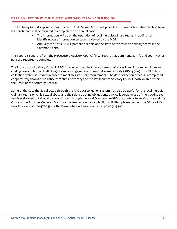## **DATA COLLECTION BY THE MULTIDISCIPLNARY TEAM & COMMISSION**

The Kentucky Multidisciplinary Commission on Child Sexual Abuse will provide all teams with a data collection form that each team will be required to complete on an annual basis.

- · The information will be on the operation of local multidisciplinary teams. Including nonidentifying case information on cases reviewed by the MDT.
- · Annually the KMCCSA will prepare a report on the state of the multidisciplinary teams in the Commonwealth.

This report is separate from the Prosecutors Advisory Council (PAC) report that Commonwealth's and county attorneys are required to complete.

The Prosecutors Advisory Council (PAC) is required to collect data on sexual offenses involving a minor victim including cases of human trafficking of a minor engaged in commercial sexual activity (KRS 15.706). The PAC data collection system is utilized in order to meet this statutory requirement. The data collection process is completed cooperatively through the Office of Victims Advocacy and the Prosecutors Advisory Council, both located within the Office of the Attorney General.

Some of the data that is collected through the PAC data collection system may also be useful for the local multidisciplinary teams on child sexual abuse and their data tracking obligations. Any collaborative use of the tracking system is welcomed but should be coordinated through the local Commonwealth's or county attorney's office and the Office of the Attorney General. For more information on data collection activities, please contact the Office of Victims Advocacy at 800-372-2551 or the Prosecutors Advisory Council at 502-696-5500.